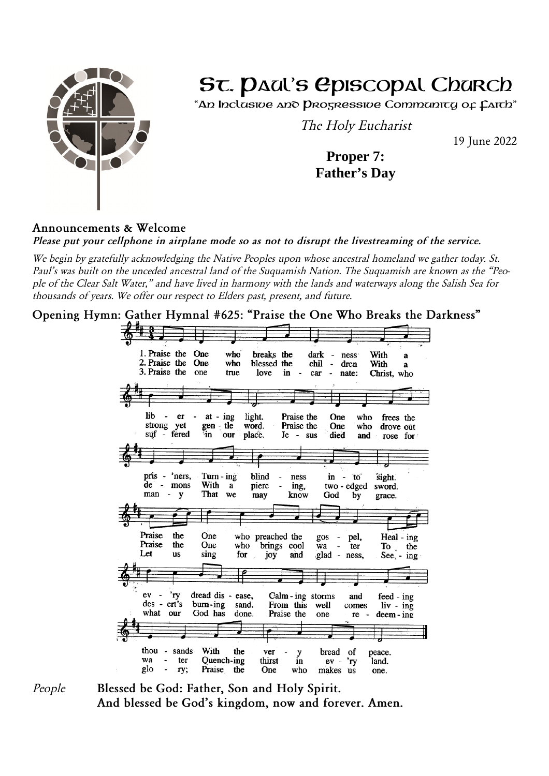

# ST. DAU'S EPISCOPAL Church

"An Inclasive and Progressive Commanity of Caith"

*The Holy Eucharist*

*19 June 2022*

**Proper 7: Father's Day**

### *Announcements & Welcome*

*Please put your cellphone in airplane mode so as not to disrupt the livestreaming of the service.*

*We begin by gratefully acknowledging the Native Peoples upon whose ancestral homeland we gather today. St. Paul's was built on the unceded ancestral land of the Suquamish Nation. The Suquamish are known as the "People of the Clear Salt Water," and have lived in harmony with the lands and waterways along the Salish Sea for thousands of years. We offer our respect to Elders past, present, and future.*

*Opening Hymn: Gather Hymnal #625: "Praise the One Who Breaks the Darkness"*



*People Blessed be God: Father, Son and Holy Spirit. And blessed be God's kingdom, now and forever. Amen.*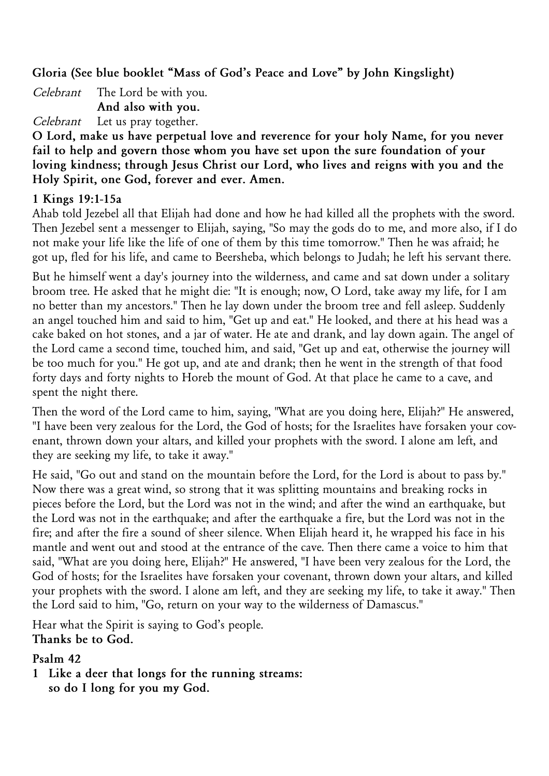*Gloria (See blue booklet "Mass of God's Peace and Love" by John Kingslight)*

*Celebrant The Lord be with you. And also with you. Celebrant Let us pray together.*

*O Lord, make us have perpetual love and reverence for your holy Name, for you never fail to help and govern those whom you have set upon the sure foundation of your loving kindness; through Jesus Christ our Lord, who lives and reigns with you and the Holy Spirit, one God, forever and ever. Amen.*

### *1 Kings 19:1-15a*

*Ahab told Jezebel all that Elijah had done and how he had killed all the prophets with the sword. Then Jezebel sent a messenger to Elijah, saying, "So may the gods do to me, and more also, if I do not make your life like the life of one of them by this time tomorrow." Then he was afraid; he got up, fled for his life, and came to Beersheba, which belongs to Judah; he left his servant there.*

*But he himself went a day's journey into the wilderness, and came and sat down under a solitary broom tree. He asked that he might die: "It is enough; now, O Lord, take away my life, for I am no better than my ancestors." Then he lay down under the broom tree and fell asleep. Suddenly an angel touched him and said to him, "Get up and eat." He looked, and there at his head was a cake baked on hot stones, and a jar of water. He ate and drank, and lay down again. The angel of the Lord came a second time, touched him, and said, "Get up and eat, otherwise the journey will be too much for you." He got up, and ate and drank; then he went in the strength of that food forty days and forty nights to Horeb the mount of God. At that place he came to a cave, and spent the night there.*

*Then the word of the Lord came to him, saying, "What are you doing here, Elijah?" He answered, "I have been very zealous for the Lord, the God of hosts; for the Israelites have forsaken your covenant, thrown down your altars, and killed your prophets with the sword. I alone am left, and they are seeking my life, to take it away."*

*He said, "Go out and stand on the mountain before the Lord, for the Lord is about to pass by." Now there was a great wind, so strong that it was splitting mountains and breaking rocks in pieces before the Lord, but the Lord was not in the wind; and after the wind an earthquake, but the Lord was not in the earthquake; and after the earthquake a fire, but the Lord was not in the fire; and after the fire a sound of sheer silence. When Elijah heard it, he wrapped his face in his mantle and went out and stood at the entrance of the cave. Then there came a voice to him that said, "What are you doing here, Elijah?" He answered, "I have been very zealous for the Lord, the God of hosts; for the Israelites have forsaken your covenant, thrown down your altars, and killed your prophets with the sword. I alone am left, and they are seeking my life, to take it away." Then the Lord said to him, "Go, return on your way to the wilderness of Damascus."*

*Hear what the Spirit is saying to God's people. Thanks be to God.*

#### *Psalm 42*

*1 Like a deer that longs for the running streams: so do I long for you my God.*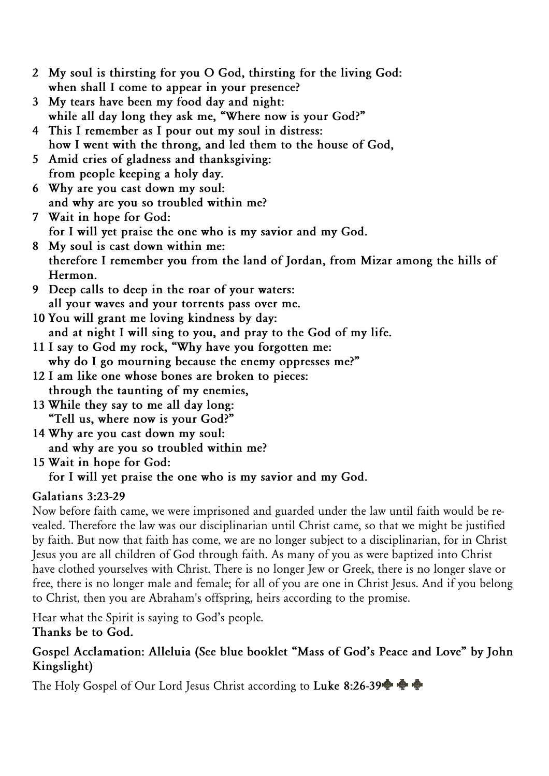- *2 My soul is thirsting for you O God, thirsting for the living God: when shall I come to appear in your presence?*
- *3 My tears have been my food day and night: while all day long they ask me, "Where now is your God?"*
- *4 This I remember as I pour out my soul in distress: how I went with the throng, and led them to the house of God,*
- *5 Amid cries of gladness and thanksgiving: from people keeping a holy day.*
- *6 Why are you cast down my soul: and why are you so troubled within me?*
- *7 Wait in hope for God: for I will yet praise the one who is my savior and my God.*
- *8 My soul is cast down within me: therefore I remember you from the land of Jordan, from Mizar among the hills of Hermon.*
- *9 Deep calls to deep in the roar of your waters: all your waves and your torrents pass over me.*
- *10 You will grant me loving kindness by day: and at night I will sing to you, and pray to the God of my life.*
- *11 I say to God my rock, "Why have you forgotten me: why do I go mourning because the enemy oppresses me?"*
- *12 I am like one whose bones are broken to pieces: through the taunting of my enemies,*
- *13 While they say to me all day long: "Tell us, where now is your God?"*
- *14 Why are you cast down my soul: and why are you so troubled within me?*
- *15 Wait in hope for God: for I will yet praise the one who is my savior and my God.*

# *Galatians 3:23-29*

*Now before faith came, we were imprisoned and guarded under the law until faith would be revealed. Therefore the law was our disciplinarian until Christ came, so that we might be justified by faith. But now that faith has come, we are no longer subject to a disciplinarian, for in Christ Jesus you are all children of God through faith. As many of you as were baptized into Christ have clothed yourselves with Christ. There is no longer Jew or Greek, there is no longer slave or free, there is no longer male and female; for all of you are one in Christ Jesus. And if you belong to Christ, then you are Abraham's offspring, heirs according to the promise.*

*Hear what the Spirit is saying to God's people. Thanks be to God.*

### *Gospel Acclamation: Alleluia (See blue booklet "Mass of God's Peace and Love" by John Kingslight)*

*The Holy Gospel of Our Lord Jesus Christ according to Luke 8:26-39*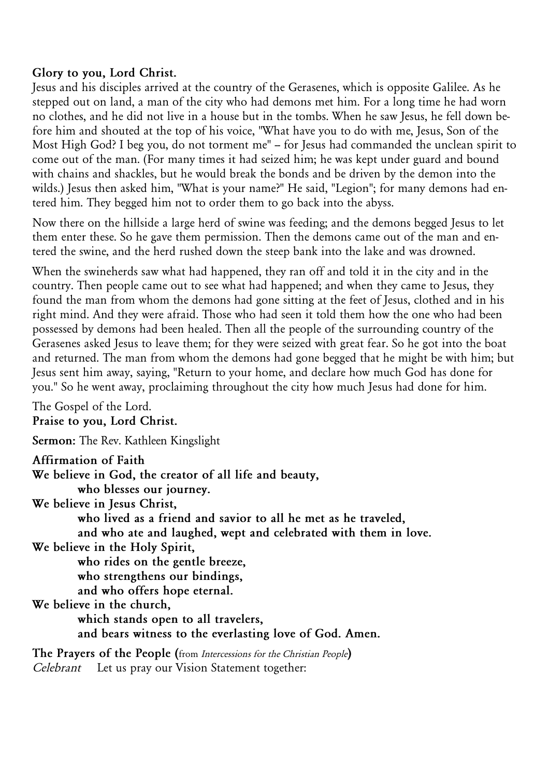### *Glory to you, Lord Christ.*

*Jesus and his disciples arrived at the country of the Gerasenes, which is opposite Galilee. As he stepped out on land, a man of the city who had demons met him. For a long time he had worn no clothes, and he did not live in a house but in the tombs. When he saw Jesus, he fell down before him and shouted at the top of his voice, "What have you to do with me, Jesus, Son of the* Most High God? I beg you, do not torment me" - for Jesus had commanded the unclean spirit to *come out of the man. (For many times it had seized him; he was kept under guard and bound with chains and shackles, but he would break the bonds and be driven by the demon into the wilds.) Jesus then asked him, "What is your name?" He said, "Legion"; for many demons had entered him. They begged him not to order them to go back into the abyss.*

*Now there on the hillside a large herd of swine was feeding; and the demons begged Jesus to let them enter these. So he gave them permission. Then the demons came out of the man and entered the swine, and the herd rushed down the steep bank into the lake and was drowned.*

*When the swineherds saw what had happened, they ran off and told it in the city and in the country. Then people came out to see what had happened; and when they came to Jesus, they found the man from whom the demons had gone sitting at the feet of Jesus, clothed and in his right mind. And they were afraid. Those who had seen it told them how the one who had been possessed by demons had been healed. Then all the people of the surrounding country of the Gerasenes asked Jesus to leave them; for they were seized with great fear. So he got into the boat and returned. The man from whom the demons had gone begged that he might be with him; but Jesus sent him away, saying, "Return to your home, and declare how much God has done for you." So he went away, proclaiming throughout the city how much Jesus had done for him.*

*The Gospel of the Lord. Praise to you, Lord Christ.*

*Sermon: The Rev. Kathleen Kingslight*

*Affirmation of Faith*

*We believe in God, the creator of all life and beauty, who blesses our journey. We believe in Jesus Christ, who lived as a friend and savior to all he met as he traveled, and who ate and laughed, wept and celebrated with them in love. We believe in the Holy Spirit, who rides on the gentle breeze, who strengthens our bindings, and who offers hope eternal. We believe in the church, which stands open to all travelers, and bears witness to the everlasting love of God. Amen. The Prayers of the People (from Intercessions for the Christian People) Celebrant Let us pray our Vision Statement together:*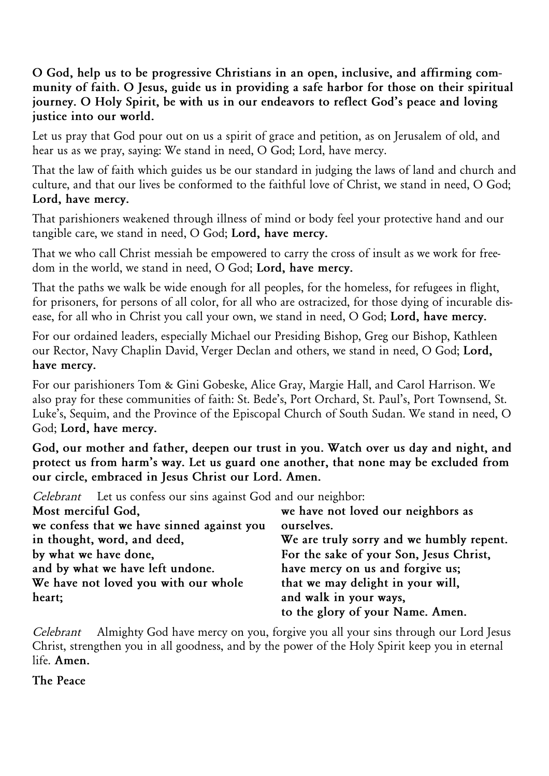### *O God, help us to be progressive Christians in an open, inclusive, and affirming community of faith. O Jesus, guide us in providing a safe harbor for those on their spiritual journey. O Holy Spirit, be with us in our endeavors to reflect God's peace and loving justice into our world.*

*Let us pray that God pour out on us a spirit of grace and petition, as on Jerusalem of old, and hear us as we pray, saying: We stand in need, O God; Lord, have mercy.*

*That the law of faith which guides us be our standard in judging the laws of land and church and culture, and that our lives be conformed to the faithful love of Christ, we stand in need, O God; Lord, have mercy.*

*That parishioners weakened through illness of mind or body feel your protective hand and our tangible care, we stand in need, O God; Lord, have mercy.*

*That we who call Christ messiah be empowered to carry the cross of insult as we work for freedom in the world, we stand in need, O God; Lord, have mercy.*

*That the paths we walk be wide enough for all peoples, for the homeless, for refugees in flight, for prisoners, for persons of all color, for all who are ostracized, for those dying of incurable disease, for all who in Christ you call your own, we stand in need, O God; Lord, have mercy.*

*For our ordained leaders, especially Michael our Presiding Bishop, Greg our Bishop, Kathleen our Rector, Navy Chaplin David, Verger Declan and others, we stand in need, O God; Lord, have mercy.*

*For our parishioners Tom & Gini Gobeske, Alice Gray, Margie Hall, and Carol Harrison. We also pray for these communities of faith: St. Bede's, Port Orchard, St. Paul's, Port Townsend, St. Luke's, Sequim, and the Province of the Episcopal Church of South Sudan. We stand in need, O God; Lord, have mercy.*

*God, our mother and father, deepen our trust in you. Watch over us day and night, and protect us from harm's way. Let us guard one another, that none may be excluded from our circle, embraced in Jesus Christ our Lord. Amen.*

*Celebrant Let us confess our sins against God and our neighbor:*

| Most merciful God,                         | we have not loved our neighbors as       |
|--------------------------------------------|------------------------------------------|
| we confess that we have sinned against you | ourselves.                               |
| in thought, word, and deed,                | We are truly sorry and we humbly repent. |
| by what we have done,                      | For the sake of your Son, Jesus Christ,  |
| and by what we have left undone.           | have mercy on us and forgive us;         |
| We have not loved you with our whole       | that we may delight in your will,        |
| heart;                                     | and walk in your ways,                   |
|                                            | to the glory of your Name. Amen.         |

*Celebrant Almighty God have mercy on you, forgive you all your sins through our Lord Jesus Christ, strengthen you in all goodness, and by the power of the Holy Spirit keep you in eternal life. Amen.*

*The Peace*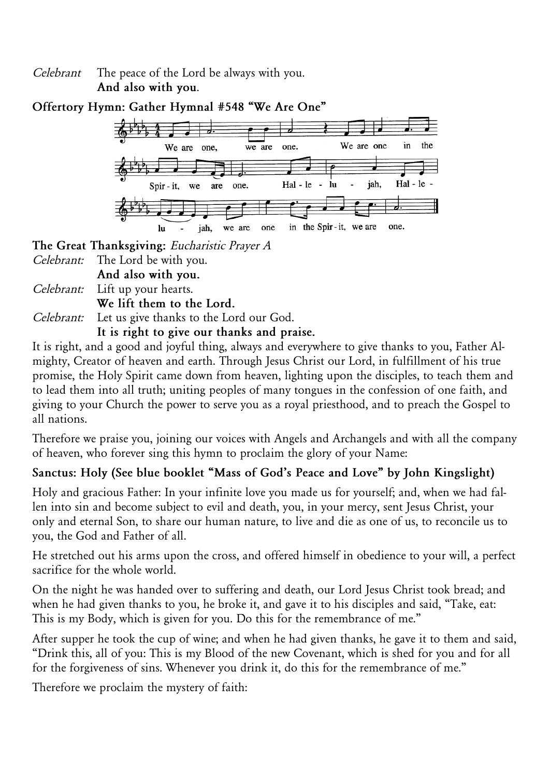*Celebrant The peace of the Lord be always with you. And also with you.*



*The Great Thanksgiving: Eucharistic Prayer A*

- *Celebrant: The Lord be with you.*
- *And also with you.*
- *Celebrant: Lift up your hearts.*

*We lift them to the Lord.*

*Celebrant: Let us give thanks to the Lord our God.*

*It is right to give our thanks and praise.*

*It is right, and a good and joyful thing, always and everywhere to give thanks to you, Father Almighty, Creator of heaven and earth. Through Jesus Christ our Lord, in fulfillment of his true promise, the Holy Spirit came down from heaven, lighting upon the disciples, to teach them and to lead them into all truth; uniting peoples of many tongues in the confession of one faith, and giving to your Church the power to serve you as a royal priesthood, and to preach the Gospel to all nations.*

*Therefore we praise you, joining our voices with Angels and Archangels and with all the company of heaven, who forever sing this hymn to proclaim the glory of your Name:*

# *Sanctus: Holy (See blue booklet "Mass of God's Peace and Love" by John Kingslight)*

*Holy and gracious Father: In your infinite love you made us for yourself; and, when we had fallen into sin and become subject to evil and death, you, in your mercy, sent Jesus Christ, your only and eternal Son, to share our human nature, to live and die as one of us, to reconcile us to you, the God and Father of all.*

*He stretched out his arms upon the cross, and offered himself in obedience to your will, a perfect sacrifice for the whole world.*

*On the night he was handed over to suffering and death, our Lord Jesus Christ took bread; and when he had given thanks to you, he broke it, and gave it to his disciples and said, "Take, eat: This is my Body, which is given for you. Do this for the remembrance of me."*

*After supper he took the cup of wine; and when he had given thanks, he gave it to them and said, "Drink this, all of you: This is my Blood of the new Covenant, which is shed for you and for all for the forgiveness of sins. Whenever you drink it, do this for the remembrance of me."*

*Therefore we proclaim the mystery of faith:*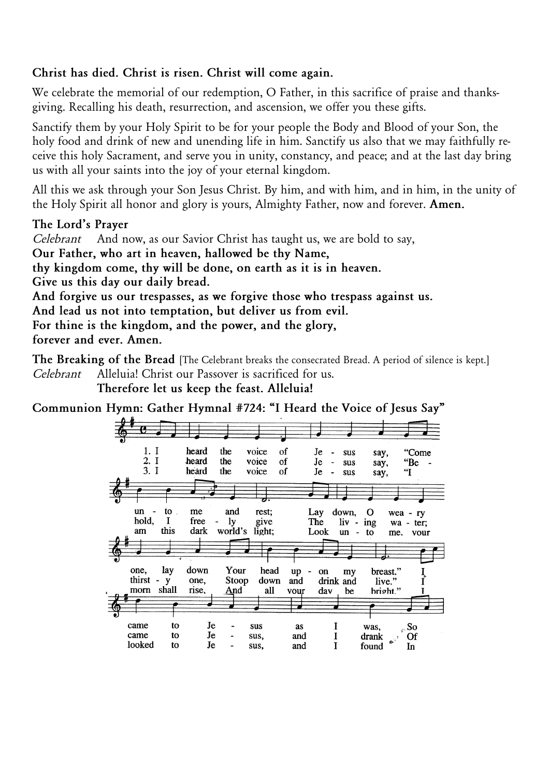### *Christ has died. Christ is risen. Christ will come again.*

*We celebrate the memorial of our redemption, O Father, in this sacrifice of praise and thanksgiving. Recalling his death, resurrection, and ascension, we offer you these gifts.*

*Sanctify them by your Holy Spirit to be for your people the Body and Blood of your Son, the holy food and drink of new and unending life in him. Sanctify us also that we may faithfully receive this holy Sacrament, and serve you in unity, constancy, and peace; and at the last day bring us with all your saints into the joy of your eternal kingdom.*

*All this we ask through your Son Jesus Christ. By him, and with him, and in him, in the unity of the Holy Spirit all honor and glory is yours, Almighty Father, now and forever. Amen.*

### *The Lord's Prayer*

*Celebrant And now, as our Savior Christ has taught us, we are bold to say, Our Father, who art in heaven, hallowed be thy Name, thy kingdom come, thy will be done, on earth as it is in heaven. Give us this day our daily bread. And forgive us our trespasses, as we forgive those who trespass against us. And lead us not into temptation, but deliver us from evil. For thine is the kingdom, and the power, and the glory, forever and ever. Amen.*

*The Breaking of the Bread [The Celebrant breaks the consecrated Bread. A period of silence is kept.] Celebrant Alleluia! Christ our Passover is sacrificed for us.*

*Therefore let us keep the feast. Alleluia!*

*Communion Hymn: Gather Hymnal #724: "I Heard the Voice of Jesus Say"*

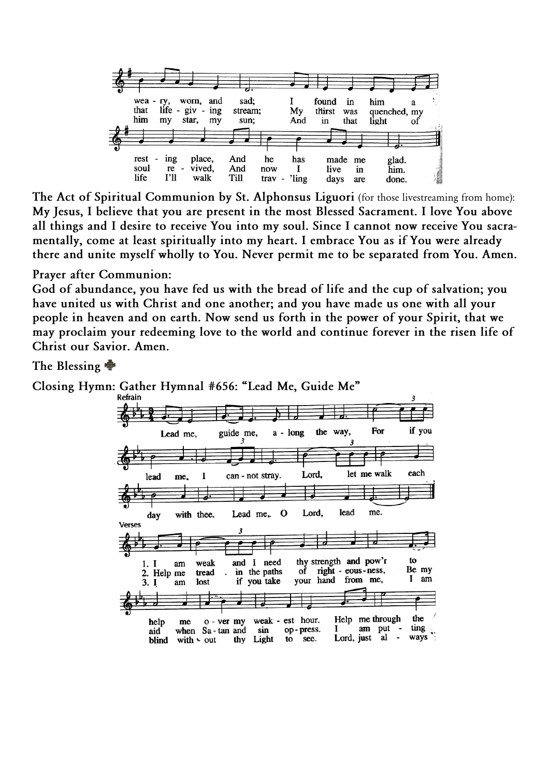

*The Act of Spiritual Communion by St. Alphonsus Liguori (for those livestreaming from home): My Jesus, I believe that you are present in the most Blessed Sacrament. I love You above all things and I desire to receive You into my soul. Since I cannot now receive You sacramentally, come at least spiritually into my heart. I embrace You as if You were already there and unite myself wholly to You. Never permit me to be separated from You. Amen.*

#### *Prayer after Communion:*

*God of abundance, you have fed us with the bread of life and the cup of salvation; you have united us with Christ and one another; and you have made us one with all your people in heaven and on earth. Now send us forth in the power of your Spirit, that we may proclaim your redeeming love to the world and continue forever in the risen life of Christ our Savior. Amen.*

### *The Blessing*